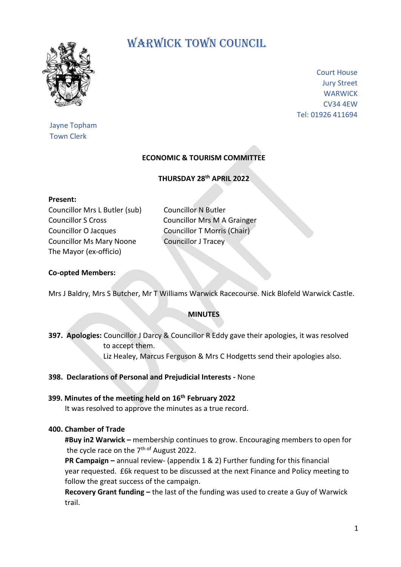

Jayne Topham Town Clerk

# WARWICK TOWN COUNCIL

Court House Jury Street **WARWICK** CV34 4EW Tel: 01926 411694

# **ECONOMIC & TOURISM COMMITTEE**

**THURSDAY 28th APRIL 2022**

#### **Present:**

Councillor Mrs L Butler (sub) Councillor N Butler Councillor S Cross Councillor Mrs M A Grainger Councillor O Jacques Councillor T Morris (Chair) Councillor Ms Mary Noone Councillor J Tracey The Mayor (ex-officio)

### **Co-opted Members:**

Mrs J Baldry, Mrs S Butcher, Mr T Williams Warwick Racecourse. Nick Blofeld Warwick Castle.

#### **MINUTES**

**397. Apologies:** Councillor J Darcy & Councillor R Eddy gave their apologies, it was resolved to accept them. Liz Healey, Marcus Ferguson & Mrs C Hodgetts send their apologies also.

#### **398. Declarations of Personal and Prejudicial Interests -** None

# **399. Minutes of the meeting held on 16th February 2022**

It was resolved to approve the minutes as a true record.

## **400. Chamber of Trade**

 **#Buy in2 Warwick –** membership continues to grow. Encouraging members to open for the cycle race on the 7<sup>th of</sup> August 2022.

 **PR Campaign –** annual review- (appendix 1 & 2) Further funding for this financial year requested. £6k request to be discussed at the next Finance and Policy meeting to follow the great success of the campaign.

 **Recovery Grant funding –** the last of the funding was used to create a Guy of Warwick trail.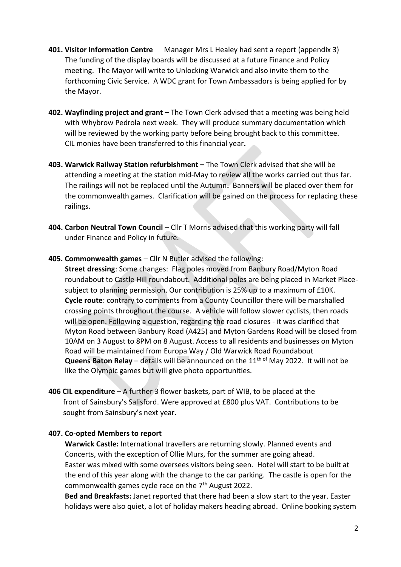- **401. Visitor Information Centre** Manager Mrs L Healey had sent a report (appendix 3) The funding of the display boards will be discussed at a future Finance and Policy meeting. The Mayor will write to Unlocking Warwick and also invite them to the forthcoming Civic Service. A WDC grant for Town Ambassadors is being applied for by the Mayor.
- **402. Wayfinding project and grant –** The Town Clerk advised that a meeting was being held with Whybrow Pedrola next week. They will produce summary documentation which will be reviewed by the working party before being brought back to this committee. CIL monies have been transferred to this financial year**.**
- **403. Warwick Railway Station refurbishment –** The Town Clerk advised that she will be attending a meeting at the station mid-May to review all the works carried out thus far. The railings will not be replaced until the Autumn**.** Banners will be placed over them for the commonwealth games. Clarification will be gained on the process for replacing these railings.
- **404. Carbon Neutral Town Council** Cllr T Morris advised that this working party will fall under Finance and Policy in future.
- **405. Commonwealth games** Cllr N Butler advised the following:

 **Street dressing**: Some changes: Flag poles moved from Banbury Road/Myton Road roundabout to Castle Hill roundabout. Additional poles are being placed in Market Place subject to planning permission. Our contribution is 25% up to a maximum of £10K.  **Cycle route**: contrary to comments from a County Councillor there will be marshalled crossing points throughout the course. A vehicle will follow slower cyclists, then roads will be open. Following a question, regarding the road closures - it was clarified that Myton Road between Banbury Road (A425) and Myton Gardens Road will be closed from 10AM on 3 August to 8PM on 8 August. Access to all residents and businesses on Myton Road will be maintained from Europa Way / Old Warwick Road Roundabout **Queens Baton Relay** – details will be announced on the 11<sup>th of</sup> May 2022. It will not be like the Olympic games but will give photo opportunities.

**406 CIL expenditure** – A further 3 flower baskets, part of WIB, to be placed at the front of Sainsbury's Salisford. Were approved at £800 plus VAT. Contributions to be sought from Sainsbury's next year.

# **407. Co-opted Members to report**

 **Warwick Castle:** International travellers are returning slowly. Planned events and Concerts, with the exception of Ollie Murs, for the summer are going ahead. Easter was mixed with some oversees visitors being seen. Hotel will start to be built at the end of this year along with the change to the car parking. The castle is open for the commonwealth games cycle race on the 7th August 2022.

 **Bed and Breakfasts:** Janet reported that there had been a slow start to the year. Easter holidays were also quiet, a lot of holiday makers heading abroad. Online booking system